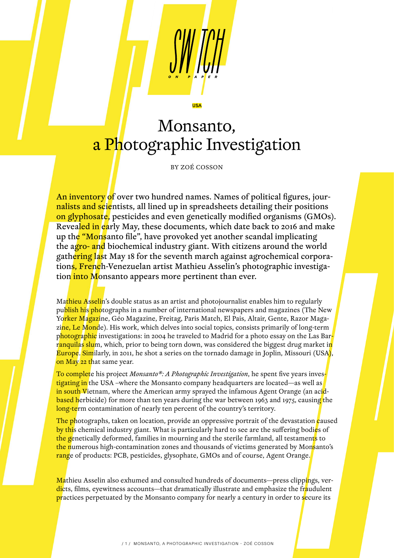## Monsanto, a Photographic Investigation

USA

BY ZOÉ COSSON

An inventory of over two hundred names. Names of political figures, journalists and scientists, all lined up in spreadsheets detailing their positions on glyphosate, pesticides and even genetically modified organisms (GMOs). Revealed in early May, these documents, which date back to 2016 and make up the "Monsanto file", have provoked yet another scandal implicating the agro- and biochemical industry giant. With citizens around the world gathering last May 18 for the seventh march against agrochemical corporations, French-Venezuelan artist Mathieu Asselin's photographic investigation into Monsanto appears more pertinent than ever.

Mathieu Asselin's double status as an artist and photojournalist enables him to regularly publish his photographs in a number of international newspapers and magazines (The New Yo<mark>rker Magaz</mark>ine, Géo Magazine, Freitag, Paris Match, El Pais, Altair, Gente, Razor Magazine, Le Monde). His work, which delves into social topics, consists primarily of long-term photographic investigations: in 2004 he traveled to Madrid for a photo essay on the Las Barranquilas slum, which, prior to being torn down, was considered the biggest drug market in Europe. Similarly, in 2011, he shot a series on the tornado damage in Joplin, Missouri (USA), on May 22 that same year.

To complete his project *Monsanto®: A Photographic Investigation*, he spent five years investigating in the USA –where the Monsanto company headquarters are located—as well as in south Vietnam, where the American army sprayed the infamous Agent Orange (an acidbased herbicide) for more than ten years during the war between 1963 and 1975, causing the long-term contamination of nearly ten percent of the country's territory.

The photographs, taken on location, provide an oppressive portrait of the devastation caused by this chemical industry giant. What is particularly hard to see are the suffering bodies of the genetically deformed, families in mourning and the sterile farmland, all testaments to the numerous high-contamination zones and thousands of victims generated by Monsanto's range of products: PCB, pesticides, glysophate, GMOs and of course, Agent Orange.

Mathieu Asselin also exhumed and consulted hundreds of documents—press clippings, verdicts, films, eyewitness accounts—that dramatically illustrate and emphasize the fraudulent practices perpetuated by the Monsanto company for nearly a century in order to secure its